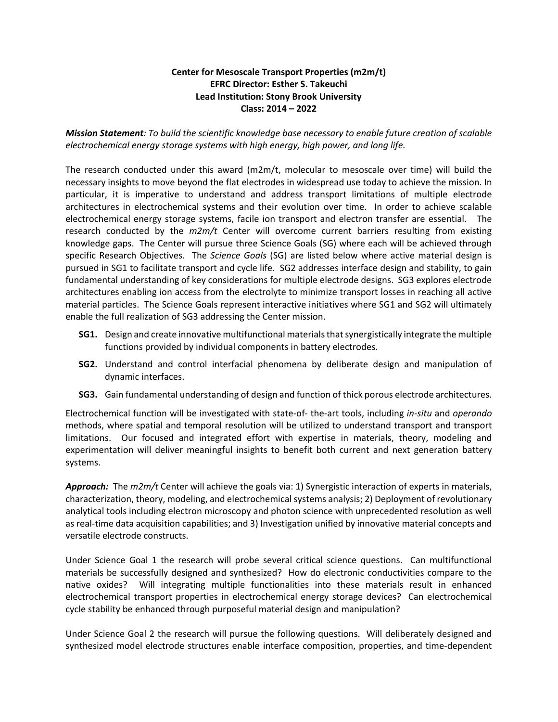## **Center for Mesoscale Transport Properties (m2m/t) EFRC Director: Esther S. Takeuchi Lead Institution: Stony Brook University Class: 2014 – 2022**

*Mission Statement: To build the scientific knowledge base necessary to enable future creation of scalable electrochemical energy storage systems with high energy, high power, and long life.*

The research conducted under this award (m2m/t, molecular to mesoscale over time) will build the necessary insights to move beyond the flat electrodes in widespread use today to achieve the mission. In particular, it is imperative to understand and address transport limitations of multiple electrode architectures in electrochemical systems and their evolution over time. In order to achieve scalable electrochemical energy storage systems, facile ion transport and electron transfer are essential. The research conducted by the *m2m/t* Center will overcome current barriers resulting from existing knowledge gaps. The Center will pursue three Science Goals (SG) where each will be achieved through specific Research Objectives. The *Science Goals* (SG) are listed below where active material design is pursued in SG1 to facilitate transport and cycle life. SG2 addresses interface design and stability, to gain fundamental understanding of key considerations for multiple electrode designs. SG3 explores electrode architectures enabling ion access from the electrolyte to minimize transport losses in reaching all active material particles. The Science Goals represent interactive initiatives where SG1 and SG2 will ultimately enable the full realization of SG3 addressing the Center mission.

- **SG1.** Design and create innovative multifunctional materials that synergistically integrate the multiple functions provided by individual components in battery electrodes.
- **SG2.** Understand and control interfacial phenomena by deliberate design and manipulation of dynamic interfaces.
- **SG3.** Gain fundamental understanding of design and function of thick porous electrode architectures.

Electrochemical function will be investigated with state-of- the-art tools, including *in-situ* and *operando* methods, where spatial and temporal resolution will be utilized to understand transport and transport limitations. Our focused and integrated effort with expertise in materials, theory, modeling and experimentation will deliver meaningful insights to benefit both current and next generation battery systems.

*Approach:* The *m2m/t* Center will achieve the goals via: 1) Synergistic interaction of experts in materials, characterization, theory, modeling, and electrochemical systems analysis; 2) Deployment of revolutionary analytical tools including electron microscopy and photon science with unprecedented resolution as well as real-time data acquisition capabilities; and 3) Investigation unified by innovative material concepts and versatile electrode constructs.

Under Science Goal 1 the research will probe several critical science questions. Can multifunctional materials be successfully designed and synthesized? How do electronic conductivities compare to the native oxides? Will integrating multiple functionalities into these materials result in enhanced electrochemical transport properties in electrochemical energy storage devices? Can electrochemical cycle stability be enhanced through purposeful material design and manipulation?

Under Science Goal 2 the research will pursue the following questions. Will deliberately designed and synthesized model electrode structures enable interface composition, properties, and time-dependent